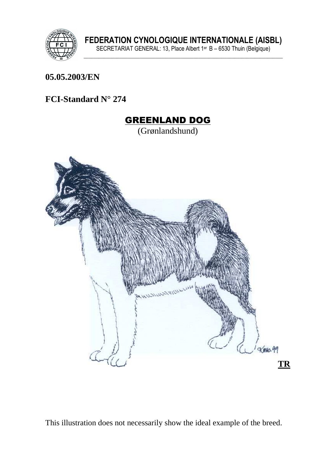

#### **05.05.2003/EN**

#### **FCI-Standard N° 274**

# GREENLAND DOG (Grønlandshund)

This illustration does not necessarily show the ideal example of the breed.

**TR** 

 $x_{M10}$ .99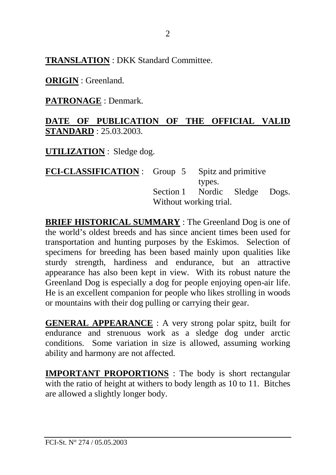**TRANSLATION** : DKK Standard Committee.

**ORIGIN** : Greenland.

**PATRONAGE** : Denmark.

#### **DATE OF PUBLICATION OF THE OFFICIAL VALID STANDARD** : 25.03.2003.

**UTILIZATION** : Sledge dog.

| <b>FCI-CLASSIFICATION</b> : Group 5 Spitz and primitive |                               |        |  |  |  |
|---------------------------------------------------------|-------------------------------|--------|--|--|--|
|                                                         |                               | types. |  |  |  |
|                                                         | Section 1 Nordic Sledge Dogs. |        |  |  |  |
|                                                         | Without working trial.        |        |  |  |  |

**BRIEF HISTORICAL SUMMARY** : The Greenland Dog is one of the world's oldest breeds and has since ancient times been used for transportation and hunting purposes by the Eskimos. Selection of specimens for breeding has been based mainly upon qualities like sturdy strength, hardiness and endurance, but an attractive appearance has also been kept in view. With its robust nature the Greenland Dog is especially a dog for people enjoying open-air life. He is an excellent companion for people who likes strolling in woods or mountains with their dog pulling or carrying their gear.

**GENERAL APPEARANCE** : A very strong polar spitz, built for endurance and strenuous work as a sledge dog under arctic conditions. Some variation in size is allowed, assuming working ability and harmony are not affected.

**IMPORTANT PROPORTIONS** : The body is short rectangular with the ratio of height at withers to body length as 10 to 11. Bitches are allowed a slightly longer body.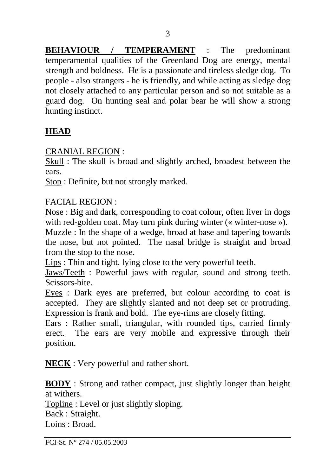**BEHAVIOUR / TEMPERAMENT** : The predominant temperamental qualities of the Greenland Dog are energy, mental strength and boldness. He is a passionate and tireless sledge dog. To people - also strangers - he is friendly, and while acting as sledge dog not closely attached to any particular person and so not suitable as a guard dog. On hunting seal and polar bear he will show a strong hunting instinct.

## **HEAD**

CRANIAL REGION :

Skull : The skull is broad and slightly arched, broadest between the ears.

Stop : Definite, but not strongly marked.

#### FACIAL REGION :

Nose : Big and dark, corresponding to coat colour, often liver in dogs with red-golden coat. May turn pink during winter (« winter-nose »).

Muzzle : In the shape of a wedge, broad at base and tapering towards the nose, but not pointed. The nasal bridge is straight and broad from the stop to the nose.

Lips : Thin and tight, lying close to the very powerful teeth.

Jaws/Teeth : Powerful jaws with regular, sound and strong teeth. Scissors-bite.

Eyes : Dark eyes are preferred, but colour according to coat is accepted. They are slightly slanted and not deep set or protruding. Expression is frank and bold. The eye-rims are closely fitting.

Ears : Rather small, triangular, with rounded tips, carried firmly erect. The ears are very mobile and expressive through their position.

**NECK** : Very powerful and rather short.

**BODY** : Strong and rather compact, just slightly longer than height at withers.

Topline : Level or just slightly sloping.

Back : Straight.

Loins : Broad.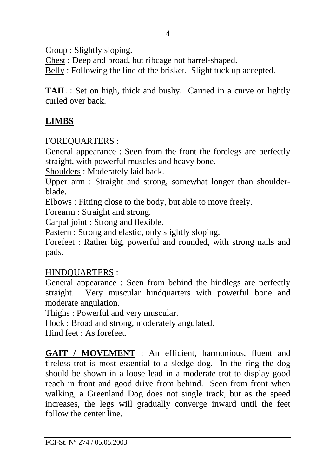Croup : Slightly sloping.

Chest : Deep and broad, but ribcage not barrel-shaped.

Belly : Following the line of the brisket. Slight tuck up accepted.

**TAIL** : Set on high, thick and bushy. Carried in a curve or lightly curled over back.

## **LIMBS**

#### FOREQUARTERS :

General appearance : Seen from the front the forelegs are perfectly straight, with powerful muscles and heavy bone.

Shoulders : Moderately laid back.

Upper arm : Straight and strong, somewhat longer than shoulderblade.

Elbows : Fitting close to the body, but able to move freely.

Forearm : Straight and strong.

Carpal joint : Strong and flexible.

Pastern : Strong and elastic, only slightly sloping.

Forefeet : Rather big, powerful and rounded, with strong nails and pads.

#### HINDQUARTERS :

General appearance : Seen from behind the hindlegs are perfectly straight. Very muscular hindquarters with powerful bone and moderate angulation.

Thighs : Powerful and very muscular.

Hock : Broad and strong, moderately angulated.

Hind feet : As forefeet.

**GAIT / MOVEMENT** : An efficient, harmonious, fluent and tireless trot is most essential to a sledge dog. In the ring the dog should be shown in a loose lead in a moderate trot to display good reach in front and good drive from behind. Seen from front when walking, a Greenland Dog does not single track, but as the speed increases, the legs will gradually converge inward until the feet follow the center line.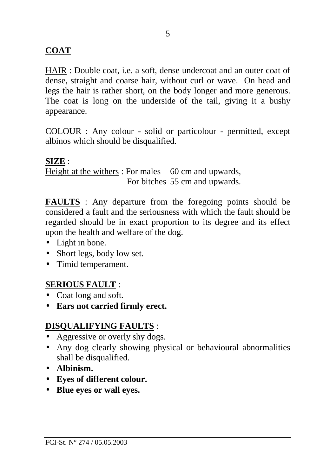#### **COAT**

HAIR : Double coat, i.e. a soft, dense undercoat and an outer coat of dense, straight and coarse hair, without curl or wave. On head and legs the hair is rather short, on the body longer and more generous. The coat is long on the underside of the tail, giving it a bushy appearance.

COLOUR : Any colour - solid or particolour - permitted, except albinos which should be disqualified.

#### **SIZE** :

Height at the withers : For males 60 cm and upwards, For bitches 55 cm and upwards.

**FAULTS** : Any departure from the foregoing points should be considered a fault and the seriousness with which the fault should be regarded should be in exact proportion to its degree and its effect upon the health and welfare of the dog.

- Light in bone.
- Short legs, body low set.
- Timid temperament.

#### **SERIOUS FAULT** :

- Coat long and soft.
- **Ears not carried firmly erect.**

#### **DISQUALIFYING FAULTS** :

- Aggressive or overly shy dogs.
- Any dog clearly showing physical or behavioural abnormalities shall be disqualified.
- **Albinism.**
- **Eyes of different colour.**
- **Blue eyes or wall eyes.**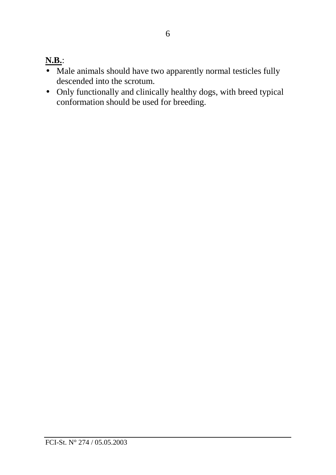# **N.B.**:

- Male animals should have two apparently normal testicles fully descended into the scrotum.
- Only functionally and clinically healthy dogs, with breed typical conformation should be used for breeding.